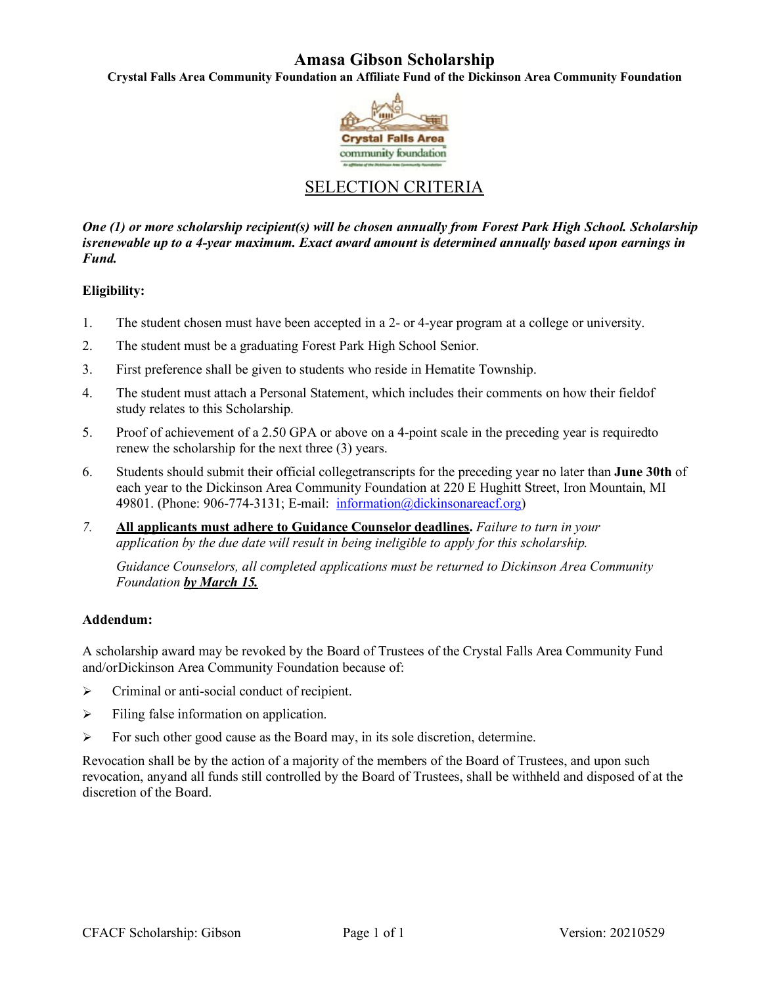## **Amasa Gibson Scholarship**

**Crystal Falls Area Community Foundation an Affiliate Fund of the Dickinson Area Community Foundation**



## SELECTION CRITERIA

*One (1) or more scholarship recipient(s) will be chosen annually from Forest Park High School. Scholarship isrenewable up to a 4-year maximum. Exact award amount is determined annually based upon earnings in Fund.*

#### **Eligibility:**

- 1. The student chosen must have been accepted in a 2- or 4-year program at a college or university.
- 2. The student must be a graduating Forest Park High School Senior.
- 3. First preference shall be given to students who reside in Hematite Township.
- 4. The student must attach a Personal Statement, which includes their comments on how their fieldof study relates to this Scholarship.
- 5. Proof of achievement of a 2.50 GPA or above on a 4-point scale in the preceding year is requiredto renew the scholarship for the next three (3) years.
- 6. Students should submit their official collegetranscripts for the preceding year no later than **June 30th** of each year to the Dickinson Area Community Foundation at 220 E Hughitt Street, Iron Mountain, MI 49801. (Phone: 906-774-3131; E-mail: information@dickinsonareacf.org)
- *7.* **All applicants must adhere to Guidance Counselor deadlines.** *Failure to turn in your application by the due date will result in being ineligible to apply for this scholarship.*

*Guidance Counselors, all completed applications must be returned to Dickinson Area Community Foundation by March 15.*

#### **Addendum:**

A scholarship award may be revoked by the Board of Trustees of the Crystal Falls Area Community Fund and/orDickinson Area Community Foundation because of:

- $\triangleright$  Criminal or anti-social conduct of recipient.
- $\triangleright$  Filing false information on application.
- $\triangleright$  For such other good cause as the Board may, in its sole discretion, determine.

Revocation shall be by the action of a majority of the members of the Board of Trustees, and upon such revocation, anyand all funds still controlled by the Board of Trustees, shall be withheld and disposed of at the discretion of the Board.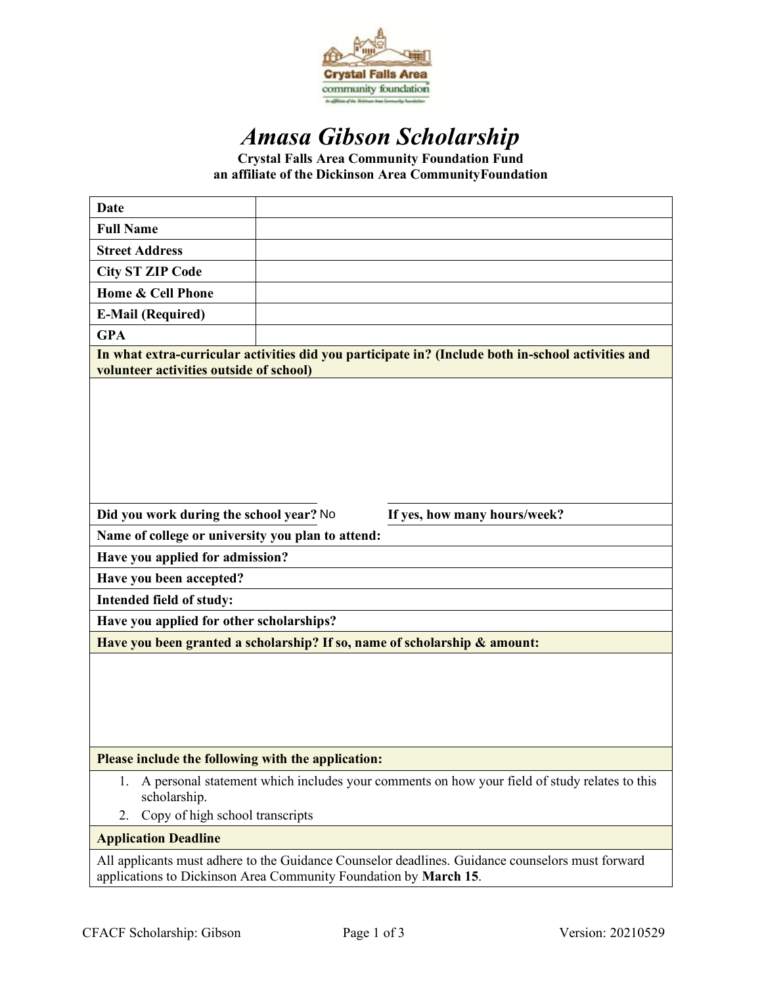

# *Amasa Gibson Scholarship*

**Crystal Falls Area Community Foundation Fund an affiliate of the Dickinson Area CommunityFoundation**

| <b>Date</b>                                                                                                                                                          |  |  |
|----------------------------------------------------------------------------------------------------------------------------------------------------------------------|--|--|
| <b>Full Name</b>                                                                                                                                                     |  |  |
| <b>Street Address</b>                                                                                                                                                |  |  |
| <b>City ST ZIP Code</b>                                                                                                                                              |  |  |
| Home & Cell Phone                                                                                                                                                    |  |  |
| <b>E-Mail (Required)</b>                                                                                                                                             |  |  |
| <b>GPA</b>                                                                                                                                                           |  |  |
| In what extra-curricular activities did you participate in? (Include both in-school activities and<br>volunteer activities outside of school)                        |  |  |
|                                                                                                                                                                      |  |  |
| Did you work during the school year? No<br>If yes, how many hours/week?                                                                                              |  |  |
| Name of college or university you plan to attend:                                                                                                                    |  |  |
| Have you applied for admission?                                                                                                                                      |  |  |
| Have you been accepted?                                                                                                                                              |  |  |
| Intended field of study:                                                                                                                                             |  |  |
| Have you applied for other scholarships?                                                                                                                             |  |  |
| Have you been granted a scholarship? If so, name of scholarship & amount:                                                                                            |  |  |
|                                                                                                                                                                      |  |  |
| Please include the following with the application:                                                                                                                   |  |  |
| A personal statement which includes your comments on how your field of study relates to this<br>1.<br>scholarship.<br>Copy of high school transcripts<br>2.          |  |  |
| <b>Application Deadline</b>                                                                                                                                          |  |  |
| All applicants must adhere to the Guidance Counselor deadlines. Guidance counselors must forward<br>applications to Dickinson Area Community Foundation by March 15. |  |  |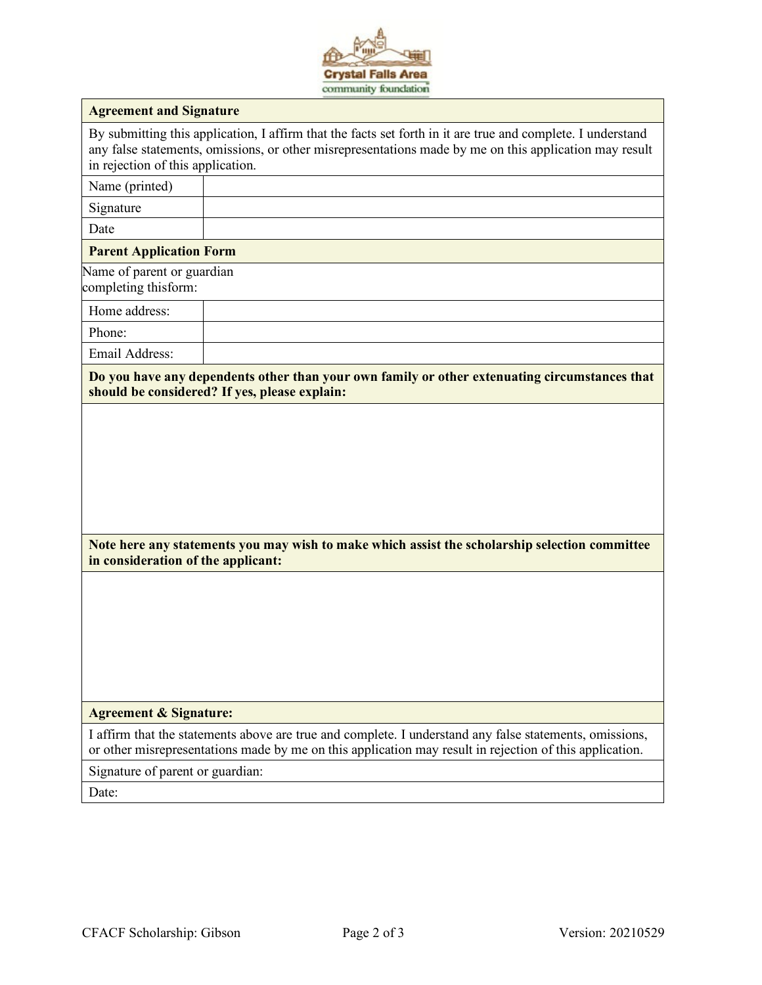

| <b>Agreement and Signature</b>                                                                                                                                                                                                                             |                                                                                                |
|------------------------------------------------------------------------------------------------------------------------------------------------------------------------------------------------------------------------------------------------------------|------------------------------------------------------------------------------------------------|
|                                                                                                                                                                                                                                                            |                                                                                                |
| By submitting this application, I affirm that the facts set forth in it are true and complete. I understand<br>any false statements, omissions, or other misrepresentations made by me on this application may result<br>in rejection of this application. |                                                                                                |
| Name (printed)                                                                                                                                                                                                                                             |                                                                                                |
| Signature                                                                                                                                                                                                                                                  |                                                                                                |
| Date                                                                                                                                                                                                                                                       |                                                                                                |
| <b>Parent Application Form</b>                                                                                                                                                                                                                             |                                                                                                |
| Name of parent or guardian<br>completing thisform:                                                                                                                                                                                                         |                                                                                                |
| Home address:                                                                                                                                                                                                                                              |                                                                                                |
| Phone:                                                                                                                                                                                                                                                     |                                                                                                |
| Email Address:                                                                                                                                                                                                                                             |                                                                                                |
| Do you have any dependents other than your own family or other extenuating circumstances that<br>should be considered? If yes, please explain:                                                                                                             |                                                                                                |
|                                                                                                                                                                                                                                                            | Note here any statements you may wish to make which assist the scholarship selection committee |
| in consideration of the applicant:                                                                                                                                                                                                                         |                                                                                                |
|                                                                                                                                                                                                                                                            |                                                                                                |
| <b>Agreement &amp; Signature:</b>                                                                                                                                                                                                                          |                                                                                                |
| I affirm that the statements above are true and complete. I understand any false statements, omissions,<br>or other misrepresentations made by me on this application may result in rejection of this application.                                         |                                                                                                |
| Signature of parent or guardian:                                                                                                                                                                                                                           |                                                                                                |
| Date:                                                                                                                                                                                                                                                      |                                                                                                |